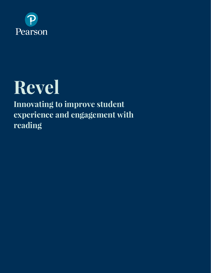

# **Revel**

**Innovating to improve student experience and engagement with reading**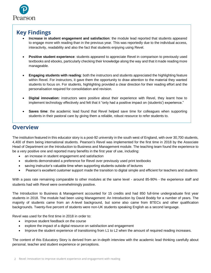

# **Key Findings**

- **Increase in student engagement and satisfaction**: the module lead reported that students appeared to engage more with reading than in the previous year. This was reportedly due to the individual access, interactivity, readability and also the fact that students enjoying using Revel.
- **Positive student experience**: students appeared to appreciate Revel in comparison to previously used textbooks and ebooks, particularly checking their knowledge along the way and that it made reading more manageable.
- **Engaging students with reading**: both the instructors and students appreciated the highlighting feature within Revel. For instructors, it gave them the opportunity to draw attention to the material they wanted students to focus on. For students, highlighting provided a clear direction for their reading effort and the personalisation required for consolidation and revision.
- **Digital innovation:** instructors were positive about their experience with Revel, they learnt how to implement technology effectively and felt that it "only had a positive impact on (students') experience."
- **Saves time**: the academic lead found that Revel helped save time for colleagues when supporting students in their pastoral care by giving them a reliable, robust resource to refer students to.

### **Overview**

The institution featured in this educator story is a post-92 university in the south west of England, with over 30,700 students, 4,400 of them being international students. Pearson's Revel was implemented for the first time in 2018 by the Associate Head of Department on the Introduction to Business and Management module. The teaching team found the experience to be a very positive one and reported many benefits in the first year of use, including:

- an increase in student engagement and satisfaction
- students demonstrated a preference for Revel over previously used print textbooks
- saving instructor's valuable time when supporting students outside of lectures
- Pearson's excellent customer support made the transition to digital simple and efficient for teachers and students

With a pass rate remaining comparable to other modules at the same level - around 85-90% - the experience staff and students had with Revel were overwhelmingly positive.

The Introduction to Business & Management accounted for 15 credits and had 850 full-time undergraduate first year students in 2018. The module had been using Management: An Introduction by David Boddy for a number of years. The majority of students came from an A-level background, but some also came from BTECs and other qualification backgrounds. Twenty-five percent of students were non-UK students speaking English as a second language.

Revel was used for the first time in 2018 in order to:

- improve student feedback on the course
- explore the impact of a digital resource on satisfaction and engagement
- Improve the student experience of transitioning from L1 to L2 when the amount of required reading increases.

The content of this Educatory Story is derived from an in-depth interview with the academic lead thinking carefully about personal, teacher and student experience or perceptions.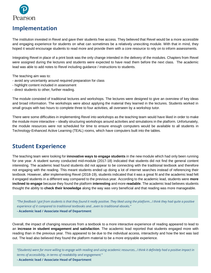

# **Implementation**

The institution invested in Revel and gave their students free access. They believed that Revel would be a more accessible and engaging experience for students on what can sometimes be a relatively unexciting module. With that in mind, they hoped it would encourage students to read more and provide them with a core resource to rely on to inform assessments.

Integrating Revel in place of a print book was the only change intended in the delivery of the modules. Chapters from Revel were assigned during the lectures and students were expected to have read them before the next class. The academic lead was able to add notes to Revel including guidance / instructions to students.

The teaching aim was to:

- avoid any uncertainty around required preparation for class
- highlight content included in assessment
- direct students to other, further reading.

The module consisted of traditional lectures and workshops. The lectures were designed to give an overview of key ideas and broad information. The workshops were about applying the material they learned in the lectures. Students worked in small groups with two hours to complete three to four activities, all overseen by a workshop tutor.

There were some difficulties in implementing Revel into workshops as the teaching team would have liked in order to make the module more interactive – ideally structuring workshops around activities and simulations in the platform. Unfortunately, the module resources were not scheduled for time to ensure enough computers would be available to all students in Technology-Enhanced Active Learning (TEAL) rooms, which have computers built into the tables.

### **Student Experience**

The teaching team were looking for **innovative ways to engage students** in the new module which had only been running for one year. A student survey conducted mid-module (2017-18) indicated that students did not find the general content interesting. The academic lead found students did not appear to be connecting with the traditional textbook and therefore not engaging with the reading. This meant students ended up doing a lot of internet searches instead of referencing their textbook. However, after implementing Revel (2018-19), students indicated that it was a great fit and the academic lead felt it engaged students in a different way compared to the previous year. According to the academic lead, students were **more inclined to engage** because they found the platform **interesting** and more **readable**. The academic lead believes students thought the ability to **check their knowledge** along the way was very beneficial and that reading was more manageable.

*"The feedback I got from students is that they found it really positive. They liked using the platform…I think they had quite a positive experience of it compared to traditional textbooks and…even to traditional ebooks."*

#### *-* **Academic lead / Associate Head of Department**

Overall, the impact of changing resources from a textbook to a more interactive experience of reading appeared to lead to an **increase in student engagement and satisfaction**. The academic lead reported that students engaged more with reading than in the previous year. This appeared to be due to the individual access, interactivity and how the text was laid out. The lead also believed they found the platform material to be a more enjoyable experience.

*"(Students) were far more willing to engage with reading and using academic resources…I think it definitely had a positive impact in terms of accessibility, in terms of readability and engagement."*

3 Revel: Innovation to improve student experience and engagement with reading **- Academic lead / Associate Head of Department**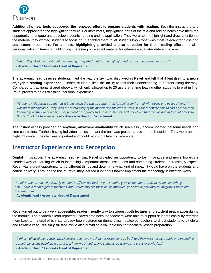

**Additionally, new tools supported the renewed effort to engage students with reading**. Both the instructors and students appreciated the highlighting feature. For instructors, highlighting parts of the text and adding notes gave them the opportunity to engage and develop students' reading and its application. They were able to highlight and draw attention to the material they wanted students to focus on. It enabled them to let students know what was most relevant for class and assessment preparation. For students, **highlighting provided a clear direction for their reading effort** and also personalization in terms of highlighting interesting or relevant material for reference at a later date e.g. exams.

*"I think they liked the additional functionality. They liked that I could highlight and comment on particular parts."*

**- Academic lead / Associate Head of Department**

The academic lead believes students liked the way the text was displayed in Revel and felt that it lent itself to a **more enjoyable reading experience**. Further, students liked the ability to test their understanding of content along the way. Compared to traditional shared ebooks, which only allowed up to 20 users at a time leaving other students to wait in line, Revel proved to be a refreshing, personal experience.

*"(Students) felt positive about how it broke down the text, so rather than just being confronted with pages and pages of text...it was more manageable…They liked the interactivity of the models and the little quizzes, so that they were able to sort of check their knowledge as they went along…They felt that on a purely sort of instrumental level, they liked that they all had individual access to this textbook."* **- Academic lead / Associate Head of Department**

The instant access provided an **anytime, anywhere availability** which seamlessly accommodated personal needs and time constraints. Further, having individual access meant the text was **personalised** for each student. They were able to highlight content they felt was important and could return to it later for reference.

# **Instructor Experience and Perception**

**Digital Innovation.** The academic lead felt that Revel provided an opportunity to be **innovative** and move towards a blended way of learning which is increasingly important across institutions and something students increasingly expect. Revel was a great opportunity to try different things and determine what kind of impact it would have on the students and course delivery. Through the use of Revel they learned a lot about how to implement the technology in effective ways.

**Value for Instructors**. *new...it had a lot of different functions, and I could only see those being improved, given the opportunity to integrate it more into "I think students reacted positively to it and staff reacted positively to it, and it gave us the opportunity to try out something the classroom."* 

*-* **Academic lead / Associate Head of Department**

Revel turned out to be a very **accessible, reader friendly** way to **support both lecturer and student preparation** during the module. The academic lead reported it saved time because teachers were able to support students easily by referring them back to material which had already been lectured on during class. It allowed teachers to direct students to a helpful and **reliable resource they trusted,** while also providing a valuable tool for teachers' lesson preparation.

*"I think it allowed me to save time...It gave (students) a much better resource to go back to if they were having trouble understanding something. It was definitely a useful tool in terms of addressing students' questions and areas of confusion."*

*-* **Academic lead / Associate Head of Department**